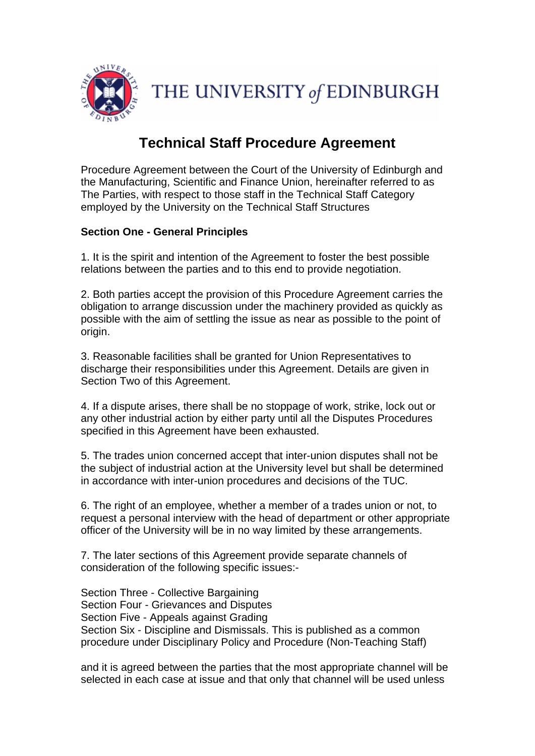

# **Technical Staff Procedure Agreement**

Procedure Agreement between the Court of the University of Edinburgh and the Manufacturing, Scientific and Finance Union, hereinafter referred to as The Parties, with respect to those staff in the Technical Staff Category employed by the University on the Technical Staff Structures

# **Section One - General Principles**

1. It is the spirit and intention of the Agreement to foster the best possible relations between the parties and to this end to provide negotiation.

2. Both parties accept the provision of this Procedure Agreement carries the obligation to arrange discussion under the machinery provided as quickly as possible with the aim of settling the issue as near as possible to the point of origin.

3. Reasonable facilities shall be granted for Union Representatives to discharge their responsibilities under this Agreement. Details are given in Section Two of this Agreement.

4. If a dispute arises, there shall be no stoppage of work, strike, lock out or any other industrial action by either party until all the Disputes Procedures specified in this Agreement have been exhausted.

5. The trades union concerned accept that inter-union disputes shall not be the subject of industrial action at the University level but shall be determined in accordance with inter-union procedures and decisions of the TUC.

6. The right of an employee, whether a member of a trades union or not, to request a personal interview with the head of department or other appropriate officer of the University will be in no way limited by these arrangements.

7. The later sections of this Agreement provide separate channels of consideration of the following specific issues:-

Section Three - Collective Bargaining Section Four - Grievances and Disputes Section Five - Appeals against Grading Section Six - Discipline and Dismissals. This is published as a common procedure under Disciplinary Policy and Procedure (Non-Teaching Staff)

and it is agreed between the parties that the most appropriate channel will be selected in each case at issue and that only that channel will be used unless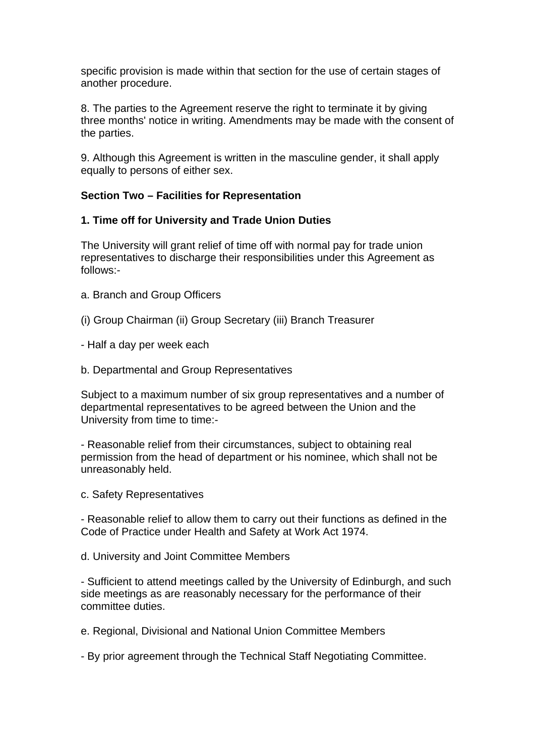specific provision is made within that section for the use of certain stages of another procedure.

8. The parties to the Agreement reserve the right to terminate it by giving three months' notice in writing. Amendments may be made with the consent of the parties.

9. Although this Agreement is written in the masculine gender, it shall apply equally to persons of either sex.

### **Section Two – Facilities for Representation**

# **1. Time off for University and Trade Union Duties**

The University will grant relief of time off with normal pay for trade union representatives to discharge their responsibilities under this Agreement as follows:-

- a. Branch and Group Officers
- (i) Group Chairman (ii) Group Secretary (iii) Branch Treasurer
- Half a day per week each
- b. Departmental and Group Representatives

Subject to a maximum number of six group representatives and a number of departmental representatives to be agreed between the Union and the University from time to time:-

- Reasonable relief from their circumstances, subject to obtaining real permission from the head of department or his nominee, which shall not be unreasonably held.

c. Safety Representatives

- Reasonable relief to allow them to carry out their functions as defined in the Code of Practice under Health and Safety at Work Act 1974.

d. University and Joint Committee Members

- Sufficient to attend meetings called by the University of Edinburgh, and such side meetings as are reasonably necessary for the performance of their committee duties.

e. Regional, Divisional and National Union Committee Members

- By prior agreement through the Technical Staff Negotiating Committee.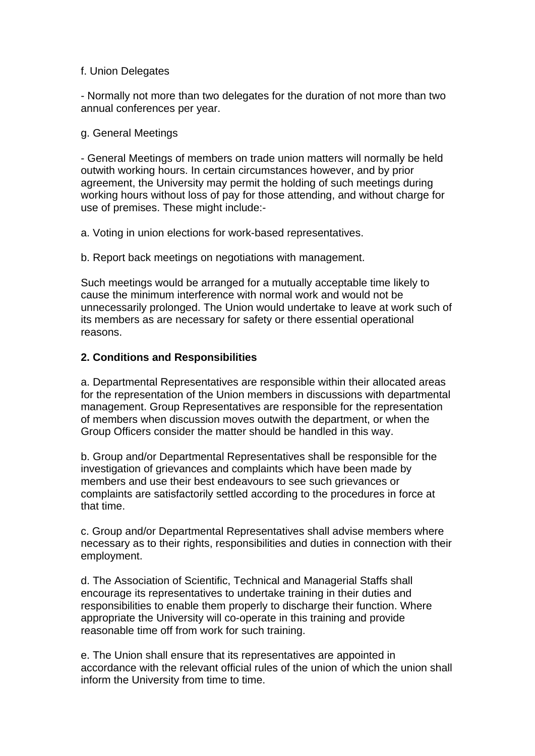#### f. Union Delegates

- Normally not more than two delegates for the duration of not more than two annual conferences per year.

#### g. General Meetings

- General Meetings of members on trade union matters will normally be held outwith working hours. In certain circumstances however, and by prior agreement, the University may permit the holding of such meetings during working hours without loss of pay for those attending, and without charge for use of premises. These might include:-

a. Voting in union elections for work-based representatives.

b. Report back meetings on negotiations with management.

Such meetings would be arranged for a mutually acceptable time likely to cause the minimum interference with normal work and would not be unnecessarily prolonged. The Union would undertake to leave at work such of its members as are necessary for safety or there essential operational reasons.

### **2. Conditions and Responsibilities**

a. Departmental Representatives are responsible within their allocated areas for the representation of the Union members in discussions with departmental management. Group Representatives are responsible for the representation of members when discussion moves outwith the department, or when the Group Officers consider the matter should be handled in this way.

b. Group and/or Departmental Representatives shall be responsible for the investigation of grievances and complaints which have been made by members and use their best endeavours to see such grievances or complaints are satisfactorily settled according to the procedures in force at that time.

c. Group and/or Departmental Representatives shall advise members where necessary as to their rights, responsibilities and duties in connection with their employment.

d. The Association of Scientific, Technical and Managerial Staffs shall encourage its representatives to undertake training in their duties and responsibilities to enable them properly to discharge their function. Where appropriate the University will co-operate in this training and provide reasonable time off from work for such training.

e. The Union shall ensure that its representatives are appointed in accordance with the relevant official rules of the union of which the union shall inform the University from time to time.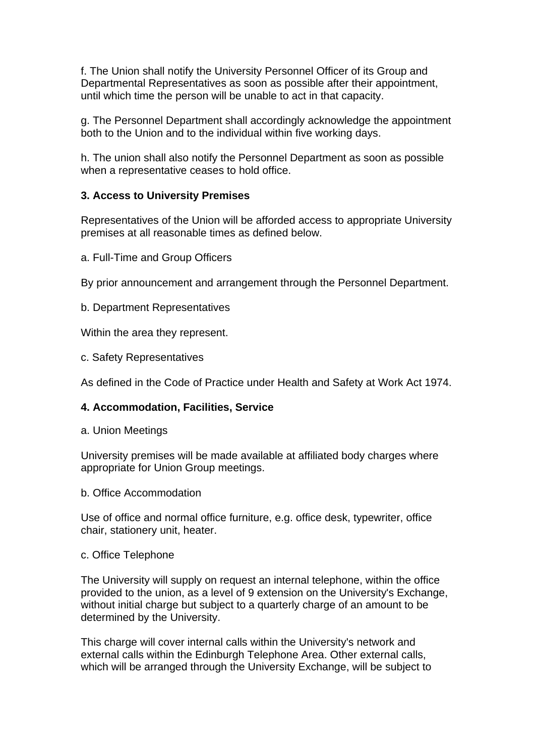f. The Union shall notify the University Personnel Officer of its Group and Departmental Representatives as soon as possible after their appointment, until which time the person will be unable to act in that capacity.

g. The Personnel Department shall accordingly acknowledge the appointment both to the Union and to the individual within five working days.

h. The union shall also notify the Personnel Department as soon as possible when a representative ceases to hold office.

### **3. Access to University Premises**

Representatives of the Union will be afforded access to appropriate University premises at all reasonable times as defined below.

a. Full-Time and Group Officers

By prior announcement and arrangement through the Personnel Department.

b. Department Representatives

Within the area they represent.

c. Safety Representatives

As defined in the Code of Practice under Health and Safety at Work Act 1974.

### **4. Accommodation, Facilities, Service**

a. Union Meetings

University premises will be made available at affiliated body charges where appropriate for Union Group meetings.

b. Office Accommodation

Use of office and normal office furniture, e.g. office desk, typewriter, office chair, stationery unit, heater.

#### c. Office Telephone

The University will supply on request an internal telephone, within the office provided to the union, as a level of 9 extension on the University's Exchange, without initial charge but subject to a quarterly charge of an amount to be determined by the University.

This charge will cover internal calls within the University's network and external calls within the Edinburgh Telephone Area. Other external calls, which will be arranged through the University Exchange, will be subject to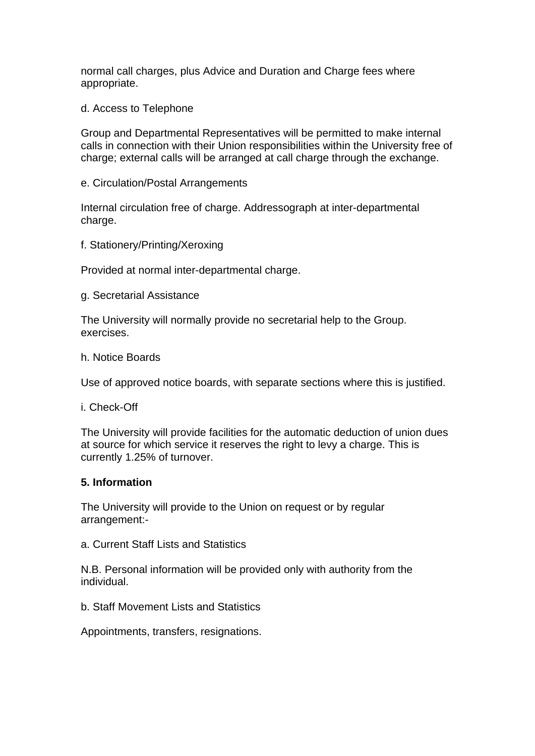normal call charges, plus Advice and Duration and Charge fees where appropriate.

d. Access to Telephone

Group and Departmental Representatives will be permitted to make internal calls in connection with their Union responsibilities within the University free of charge; external calls will be arranged at call charge through the exchange.

e. Circulation/Postal Arrangements

Internal circulation free of charge. Addressograph at inter-departmental charge.

f. Stationery/Printing/Xeroxing

Provided at normal inter-departmental charge.

g. Secretarial Assistance

The University will normally provide no secretarial help to the Group. exercises.

h. Notice Boards

Use of approved notice boards, with separate sections where this is justified.

i. Check-Off

The University will provide facilities for the automatic deduction of union dues at source for which service it reserves the right to levy a charge. This is currently 1.25% of turnover.

#### **5. Information**

The University will provide to the Union on request or by regular arrangement:-

a. Current Staff Lists and Statistics

N.B. Personal information will be provided only with authority from the individual.

b. Staff Movement Lists and Statistics

Appointments, transfers, resignations.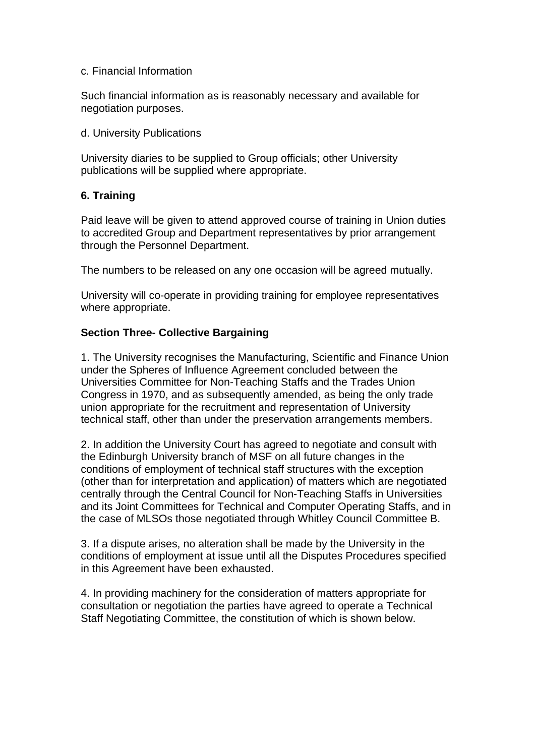#### c. Financial Information

Such financial information as is reasonably necessary and available for negotiation purposes.

#### d. University Publications

University diaries to be supplied to Group officials; other University publications will be supplied where appropriate.

# **6. Training**

Paid leave will be given to attend approved course of training in Union duties to accredited Group and Department representatives by prior arrangement through the Personnel Department.

The numbers to be released on any one occasion will be agreed mutually.

University will co-operate in providing training for employee representatives where appropriate.

### **Section Three- Collective Bargaining**

1. The University recognises the Manufacturing, Scientific and Finance Union under the Spheres of Influence Agreement concluded between the Universities Committee for Non-Teaching Staffs and the Trades Union Congress in 1970, and as subsequently amended, as being the only trade union appropriate for the recruitment and representation of University technical staff, other than under the preservation arrangements members.

2. In addition the University Court has agreed to negotiate and consult with the Edinburgh University branch of MSF on all future changes in the conditions of employment of technical staff structures with the exception (other than for interpretation and application) of matters which are negotiated centrally through the Central Council for Non-Teaching Staffs in Universities and its Joint Committees for Technical and Computer Operating Staffs, and in the case of MLSOs those negotiated through Whitley Council Committee B.

3. If a dispute arises, no alteration shall be made by the University in the conditions of employment at issue until all the Disputes Procedures specified in this Agreement have been exhausted.

4. In providing machinery for the consideration of matters appropriate for consultation or negotiation the parties have agreed to operate a Technical Staff Negotiating Committee, the constitution of which is shown below.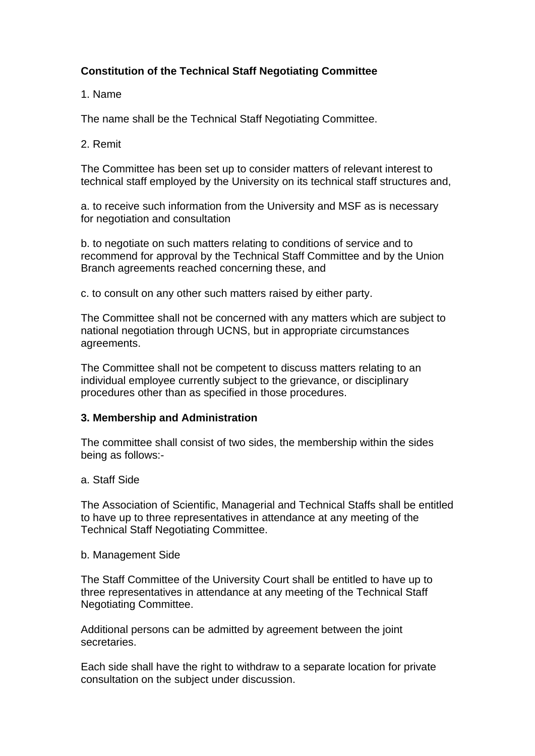# **Constitution of the Technical Staff Negotiating Committee**

## 1. Name

The name shall be the Technical Staff Negotiating Committee.

# 2. Remit

The Committee has been set up to consider matters of relevant interest to technical staff employed by the University on its technical staff structures and,

a. to receive such information from the University and MSF as is necessary for negotiation and consultation

b. to negotiate on such matters relating to conditions of service and to recommend for approval by the Technical Staff Committee and by the Union Branch agreements reached concerning these, and

c. to consult on any other such matters raised by either party.

The Committee shall not be concerned with any matters which are subject to national negotiation through UCNS, but in appropriate circumstances agreements.

The Committee shall not be competent to discuss matters relating to an individual employee currently subject to the grievance, or disciplinary procedures other than as specified in those procedures.

# **3. Membership and Administration**

The committee shall consist of two sides, the membership within the sides being as follows:-

### a. Staff Side

The Association of Scientific, Managerial and Technical Staffs shall be entitled to have up to three representatives in attendance at any meeting of the Technical Staff Negotiating Committee.

### b. Management Side

The Staff Committee of the University Court shall be entitled to have up to three representatives in attendance at any meeting of the Technical Staff Negotiating Committee.

Additional persons can be admitted by agreement between the joint secretaries.

Each side shall have the right to withdraw to a separate location for private consultation on the subject under discussion.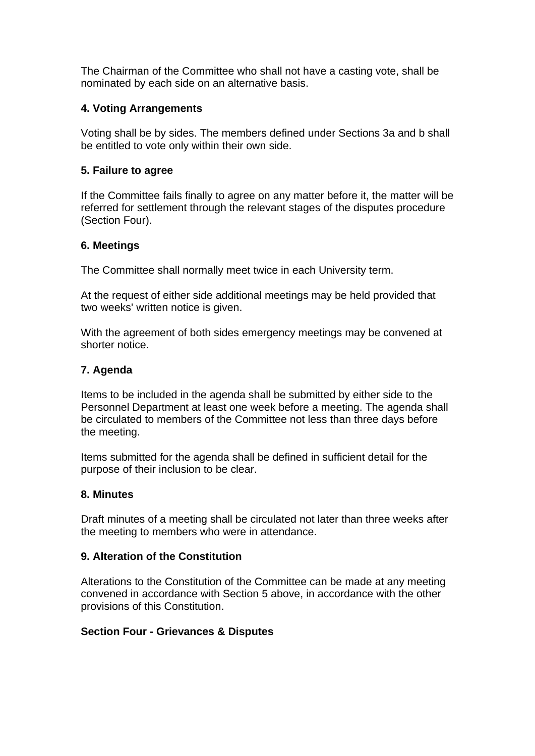The Chairman of the Committee who shall not have a casting vote, shall be nominated by each side on an alternative basis.

# **4. Voting Arrangements**

Voting shall be by sides. The members defined under Sections 3a and b shall be entitled to vote only within their own side.

## **5. Failure to agree**

If the Committee fails finally to agree on any matter before it, the matter will be referred for settlement through the relevant stages of the disputes procedure (Section Four).

### **6. Meetings**

The Committee shall normally meet twice in each University term.

At the request of either side additional meetings may be held provided that two weeks' written notice is given.

With the agreement of both sides emergency meetings may be convened at shorter notice.

# **7. Agenda**

Items to be included in the agenda shall be submitted by either side to the Personnel Department at least one week before a meeting. The agenda shall be circulated to members of the Committee not less than three days before the meeting.

Items submitted for the agenda shall be defined in sufficient detail for the purpose of their inclusion to be clear.

### **8. Minutes**

Draft minutes of a meeting shall be circulated not later than three weeks after the meeting to members who were in attendance.

### **9. Alteration of the Constitution**

Alterations to the Constitution of the Committee can be made at any meeting convened in accordance with Section 5 above, in accordance with the other provisions of this Constitution.

### **Section Four - Grievances & Disputes**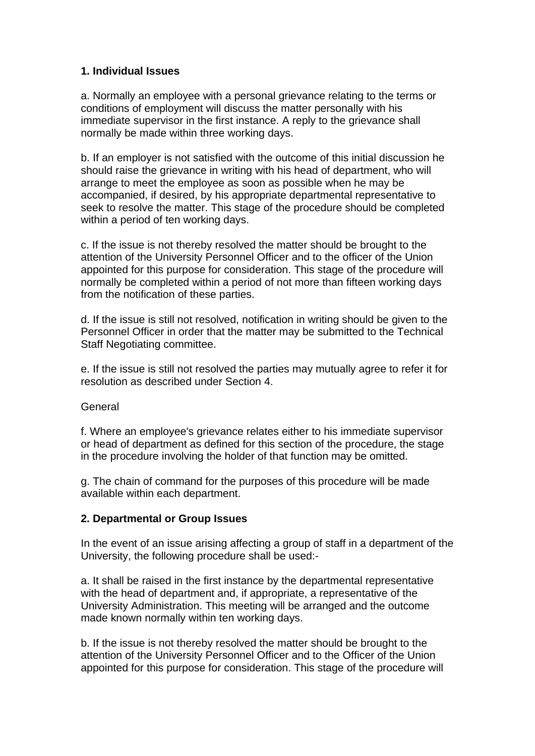# **1. Individual Issues**

a. Normally an employee with a personal grievance relating to the terms or conditions of employment will discuss the matter personally with his immediate supervisor in the first instance. A reply to the grievance shall normally be made within three working days.

b. If an employer is not satisfied with the outcome of this initial discussion he should raise the grievance in writing with his head of department, who will arrange to meet the employee as soon as possible when he may be accompanied, if desired, by his appropriate departmental representative to seek to resolve the matter. This stage of the procedure should be completed within a period of ten working days.

c. If the issue is not thereby resolved the matter should be brought to the attention of the University Personnel Officer and to the officer of the Union appointed for this purpose for consideration. This stage of the procedure will normally be completed within a period of not more than fifteen working days from the notification of these parties.

d. If the issue is still not resolved, notification in writing should be given to the Personnel Officer in order that the matter may be submitted to the Technical Staff Negotiating committee.

e. If the issue is still not resolved the parties may mutually agree to refer it for resolution as described under Section 4.

### General

f. Where an employee's grievance relates either to his immediate supervisor or head of department as defined for this section of the procedure, the stage in the procedure involving the holder of that function may be omitted.

g. The chain of command for the purposes of this procedure will be made available within each department.

### **2. Departmental or Group Issues**

In the event of an issue arising affecting a group of staff in a department of the University, the following procedure shall be used:-

a. It shall be raised in the first instance by the departmental representative with the head of department and, if appropriate, a representative of the University Administration. This meeting will be arranged and the outcome made known normally within ten working days.

b. If the issue is not thereby resolved the matter should be brought to the attention of the University Personnel Officer and to the Officer of the Union appointed for this purpose for consideration. This stage of the procedure will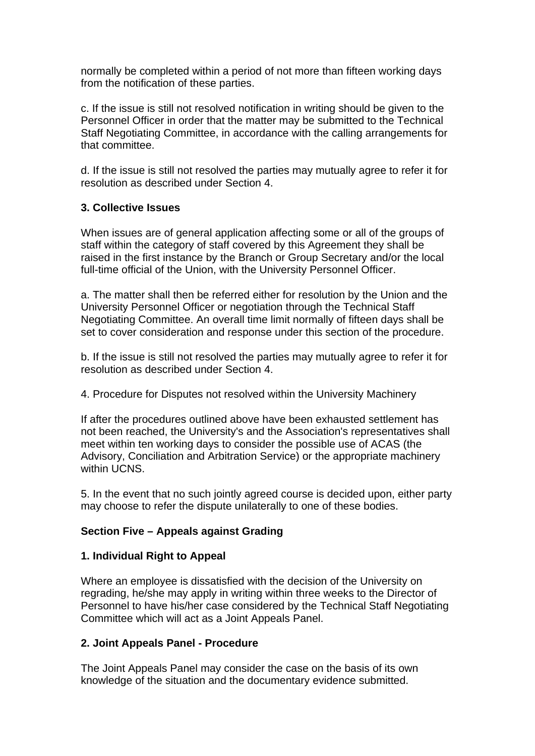normally be completed within a period of not more than fifteen working days from the notification of these parties.

c. If the issue is still not resolved notification in writing should be given to the Personnel Officer in order that the matter may be submitted to the Technical Staff Negotiating Committee, in accordance with the calling arrangements for that committee.

d. If the issue is still not resolved the parties may mutually agree to refer it for resolution as described under Section 4.

# **3. Collective Issues**

When issues are of general application affecting some or all of the groups of staff within the category of staff covered by this Agreement they shall be raised in the first instance by the Branch or Group Secretary and/or the local full-time official of the Union, with the University Personnel Officer.

a. The matter shall then be referred either for resolution by the Union and the University Personnel Officer or negotiation through the Technical Staff Negotiating Committee. An overall time limit normally of fifteen days shall be set to cover consideration and response under this section of the procedure.

b. If the issue is still not resolved the parties may mutually agree to refer it for resolution as described under Section 4.

4. Procedure for Disputes not resolved within the University Machinery

If after the procedures outlined above have been exhausted settlement has not been reached, the University's and the Association's representatives shall meet within ten working days to consider the possible use of ACAS (the Advisory, Conciliation and Arbitration Service) or the appropriate machinery within UCNS.

5. In the event that no such jointly agreed course is decided upon, either party may choose to refer the dispute unilaterally to one of these bodies.

### **Section Five – Appeals against Grading**

### **1. Individual Right to Appeal**

Where an employee is dissatisfied with the decision of the University on regrading, he/she may apply in writing within three weeks to the Director of Personnel to have his/her case considered by the Technical Staff Negotiating Committee which will act as a Joint Appeals Panel.

### **2. Joint Appeals Panel - Procedure**

The Joint Appeals Panel may consider the case on the basis of its own knowledge of the situation and the documentary evidence submitted.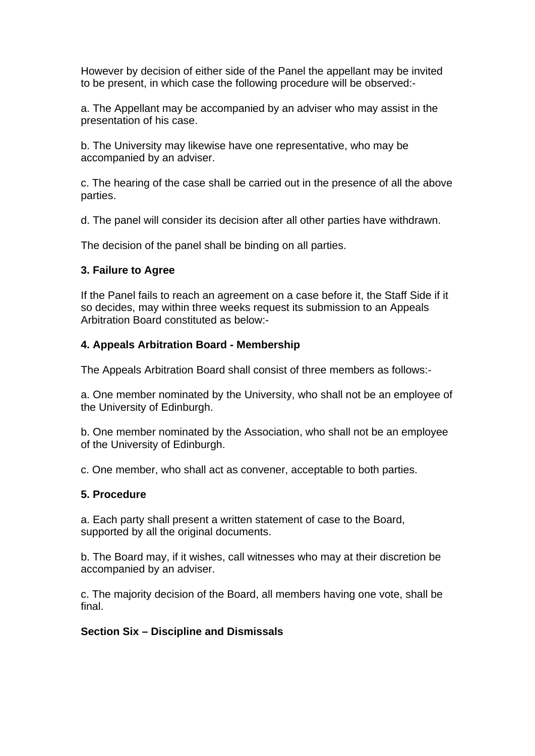However by decision of either side of the Panel the appellant may be invited to be present, in which case the following procedure will be observed:-

a. The Appellant may be accompanied by an adviser who may assist in the presentation of his case.

b. The University may likewise have one representative, who may be accompanied by an adviser.

c. The hearing of the case shall be carried out in the presence of all the above parties.

d. The panel will consider its decision after all other parties have withdrawn.

The decision of the panel shall be binding on all parties.

### **3. Failure to Agree**

If the Panel fails to reach an agreement on a case before it, the Staff Side if it so decides, may within three weeks request its submission to an Appeals Arbitration Board constituted as below:-

### **4. Appeals Arbitration Board - Membership**

The Appeals Arbitration Board shall consist of three members as follows:-

a. One member nominated by the University, who shall not be an employee of the University of Edinburgh.

b. One member nominated by the Association, who shall not be an employee of the University of Edinburgh.

c. One member, who shall act as convener, acceptable to both parties.

### **5. Procedure**

a. Each party shall present a written statement of case to the Board, supported by all the original documents.

b. The Board may, if it wishes, call witnesses who may at their discretion be accompanied by an adviser.

c. The majority decision of the Board, all members having one vote, shall be final.

### **Section Six – Discipline and Dismissals**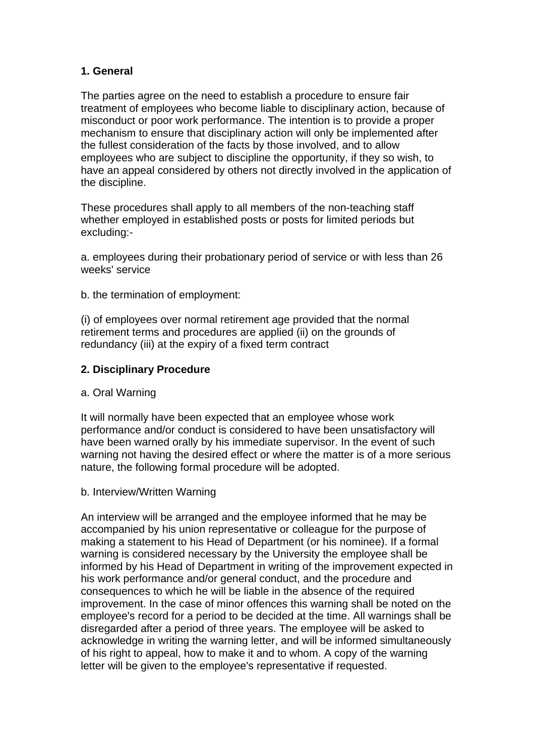# **1. General**

The parties agree on the need to establish a procedure to ensure fair treatment of employees who become liable to disciplinary action, because of misconduct or poor work performance. The intention is to provide a proper mechanism to ensure that disciplinary action will only be implemented after the fullest consideration of the facts by those involved, and to allow employees who are subject to discipline the opportunity, if they so wish, to have an appeal considered by others not directly involved in the application of the discipline.

These procedures shall apply to all members of the non-teaching staff whether employed in established posts or posts for limited periods but excluding:-

a. employees during their probationary period of service or with less than 26 weeks' service

b. the termination of employment:

(i) of employees over normal retirement age provided that the normal retirement terms and procedures are applied (ii) on the grounds of redundancy (iii) at the expiry of a fixed term contract

### **2. Disciplinary Procedure**

### a. Oral Warning

It will normally have been expected that an employee whose work performance and/or conduct is considered to have been unsatisfactory will have been warned orally by his immediate supervisor. In the event of such warning not having the desired effect or where the matter is of a more serious nature, the following formal procedure will be adopted.

#### b. Interview/Written Warning

An interview will be arranged and the employee informed that he may be accompanied by his union representative or colleague for the purpose of making a statement to his Head of Department (or his nominee). If a formal warning is considered necessary by the University the employee shall be informed by his Head of Department in writing of the improvement expected in his work performance and/or general conduct, and the procedure and consequences to which he will be liable in the absence of the required improvement. In the case of minor offences this warning shall be noted on the employee's record for a period to be decided at the time. All warnings shall be disregarded after a period of three years. The employee will be asked to acknowledge in writing the warning letter, and will be informed simultaneously of his right to appeal, how to make it and to whom. A copy of the warning letter will be given to the employee's representative if requested.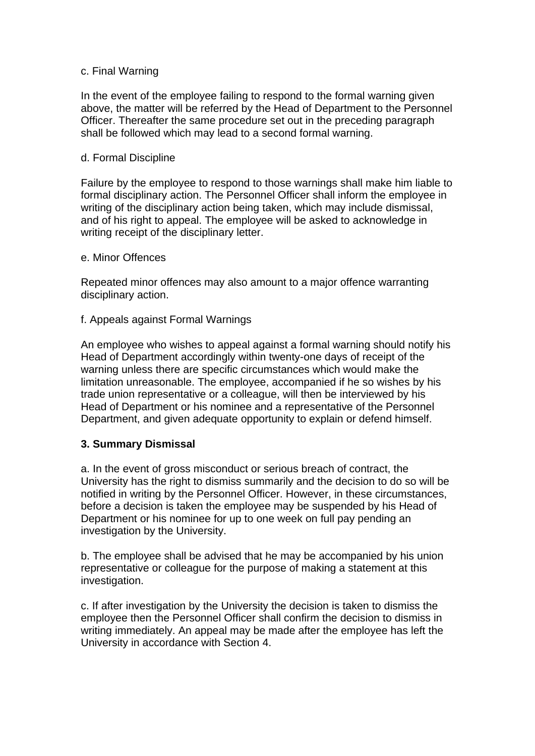#### c. Final Warning

In the event of the employee failing to respond to the formal warning given above, the matter will be referred by the Head of Department to the Personnel Officer. Thereafter the same procedure set out in the preceding paragraph shall be followed which may lead to a second formal warning.

#### d. Formal Discipline

Failure by the employee to respond to those warnings shall make him liable to formal disciplinary action. The Personnel Officer shall inform the employee in writing of the disciplinary action being taken, which may include dismissal, and of his right to appeal. The employee will be asked to acknowledge in writing receipt of the disciplinary letter.

#### e. Minor Offences

Repeated minor offences may also amount to a major offence warranting disciplinary action.

#### f. Appeals against Formal Warnings

An employee who wishes to appeal against a formal warning should notify his Head of Department accordingly within twenty-one days of receipt of the warning unless there are specific circumstances which would make the limitation unreasonable. The employee, accompanied if he so wishes by his trade union representative or a colleague, will then be interviewed by his Head of Department or his nominee and a representative of the Personnel Department, and given adequate opportunity to explain or defend himself.

### **3. Summary Dismissal**

a. In the event of gross misconduct or serious breach of contract, the University has the right to dismiss summarily and the decision to do so will be notified in writing by the Personnel Officer. However, in these circumstances, before a decision is taken the employee may be suspended by his Head of Department or his nominee for up to one week on full pay pending an investigation by the University.

b. The employee shall be advised that he may be accompanied by his union representative or colleague for the purpose of making a statement at this investigation.

c. If after investigation by the University the decision is taken to dismiss the employee then the Personnel Officer shall confirm the decision to dismiss in writing immediately. An appeal may be made after the employee has left the University in accordance with Section 4.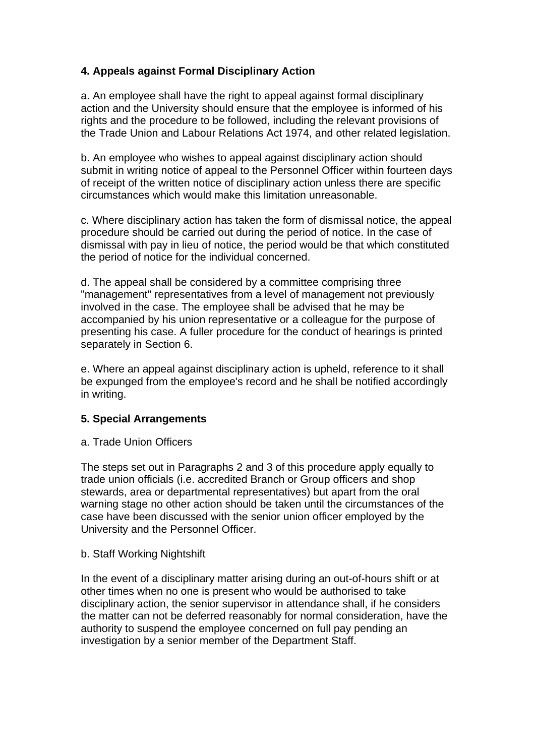# **4. Appeals against Formal Disciplinary Action**

a. An employee shall have the right to appeal against formal disciplinary action and the University should ensure that the employee is informed of his rights and the procedure to be followed, including the relevant provisions of the Trade Union and Labour Relations Act 1974, and other related legislation.

b. An employee who wishes to appeal against disciplinary action should submit in writing notice of appeal to the Personnel Officer within fourteen days of receipt of the written notice of disciplinary action unless there are specific circumstances which would make this limitation unreasonable.

c. Where disciplinary action has taken the form of dismissal notice, the appeal procedure should be carried out during the period of notice. In the case of dismissal with pay in lieu of notice, the period would be that which constituted the period of notice for the individual concerned.

d. The appeal shall be considered by a committee comprising three "management" representatives from a level of management not previously involved in the case. The employee shall be advised that he may be accompanied by his union representative or a colleague for the purpose of presenting his case. A fuller procedure for the conduct of hearings is printed separately in Section 6.

e. Where an appeal against disciplinary action is upheld, reference to it shall be expunged from the employee's record and he shall be notified accordingly in writing.

### **5. Special Arrangements**

### a. Trade Union Officers

The steps set out in Paragraphs 2 and 3 of this procedure apply equally to trade union officials (i.e. accredited Branch or Group officers and shop stewards, area or departmental representatives) but apart from the oral warning stage no other action should be taken until the circumstances of the case have been discussed with the senior union officer employed by the University and the Personnel Officer.

### b. Staff Working Nightshift

In the event of a disciplinary matter arising during an out-of-hours shift or at other times when no one is present who would be authorised to take disciplinary action, the senior supervisor in attendance shall, if he considers the matter can not be deferred reasonably for normal consideration, have the authority to suspend the employee concerned on full pay pending an investigation by a senior member of the Department Staff.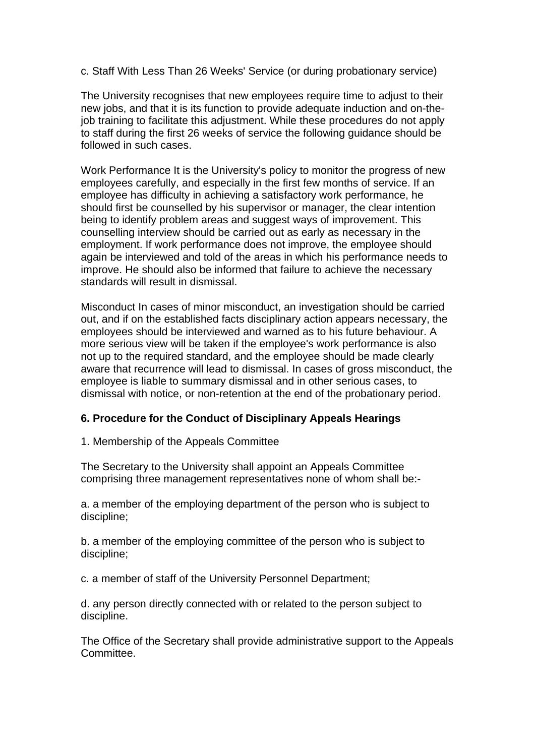c. Staff With Less Than 26 Weeks' Service (or during probationary service)

The University recognises that new employees require time to adjust to their new jobs, and that it is its function to provide adequate induction and on-thejob training to facilitate this adjustment. While these procedures do not apply to staff during the first 26 weeks of service the following guidance should be followed in such cases.

Work Performance It is the University's policy to monitor the progress of new employees carefully, and especially in the first few months of service. If an employee has difficulty in achieving a satisfactory work performance, he should first be counselled by his supervisor or manager, the clear intention being to identify problem areas and suggest ways of improvement. This counselling interview should be carried out as early as necessary in the employment. If work performance does not improve, the employee should again be interviewed and told of the areas in which his performance needs to improve. He should also be informed that failure to achieve the necessary standards will result in dismissal.

Misconduct In cases of minor misconduct, an investigation should be carried out, and if on the established facts disciplinary action appears necessary, the employees should be interviewed and warned as to his future behaviour. A more serious view will be taken if the employee's work performance is also not up to the required standard, and the employee should be made clearly aware that recurrence will lead to dismissal. In cases of gross misconduct, the employee is liable to summary dismissal and in other serious cases, to dismissal with notice, or non-retention at the end of the probationary period.

### **6. Procedure for the Conduct of Disciplinary Appeals Hearings**

1. Membership of the Appeals Committee

The Secretary to the University shall appoint an Appeals Committee comprising three management representatives none of whom shall be:-

a. a member of the employing department of the person who is subject to discipline;

b. a member of the employing committee of the person who is subject to discipline;

c. a member of staff of the University Personnel Department;

d. any person directly connected with or related to the person subject to discipline.

The Office of the Secretary shall provide administrative support to the Appeals Committee.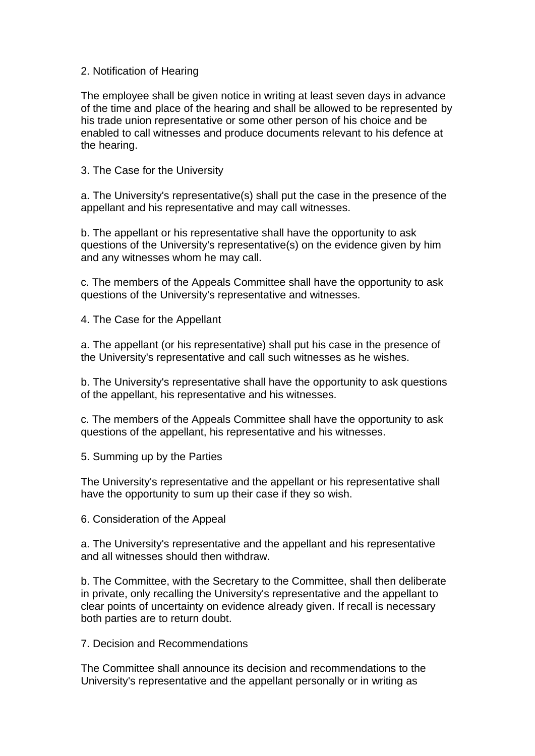#### 2. Notification of Hearing

The employee shall be given notice in writing at least seven days in advance of the time and place of the hearing and shall be allowed to be represented by his trade union representative or some other person of his choice and be enabled to call witnesses and produce documents relevant to his defence at the hearing.

3. The Case for the University

a. The University's representative(s) shall put the case in the presence of the appellant and his representative and may call witnesses.

b. The appellant or his representative shall have the opportunity to ask questions of the University's representative(s) on the evidence given by him and any witnesses whom he may call.

c. The members of the Appeals Committee shall have the opportunity to ask questions of the University's representative and witnesses.

4. The Case for the Appellant

a. The appellant (or his representative) shall put his case in the presence of the University's representative and call such witnesses as he wishes.

b. The University's representative shall have the opportunity to ask questions of the appellant, his representative and his witnesses.

c. The members of the Appeals Committee shall have the opportunity to ask questions of the appellant, his representative and his witnesses.

5. Summing up by the Parties

The University's representative and the appellant or his representative shall have the opportunity to sum up their case if they so wish.

6. Consideration of the Appeal

a. The University's representative and the appellant and his representative and all witnesses should then withdraw.

b. The Committee, with the Secretary to the Committee, shall then deliberate in private, only recalling the University's representative and the appellant to clear points of uncertainty on evidence already given. If recall is necessary both parties are to return doubt.

7. Decision and Recommendations

The Committee shall announce its decision and recommendations to the University's representative and the appellant personally or in writing as